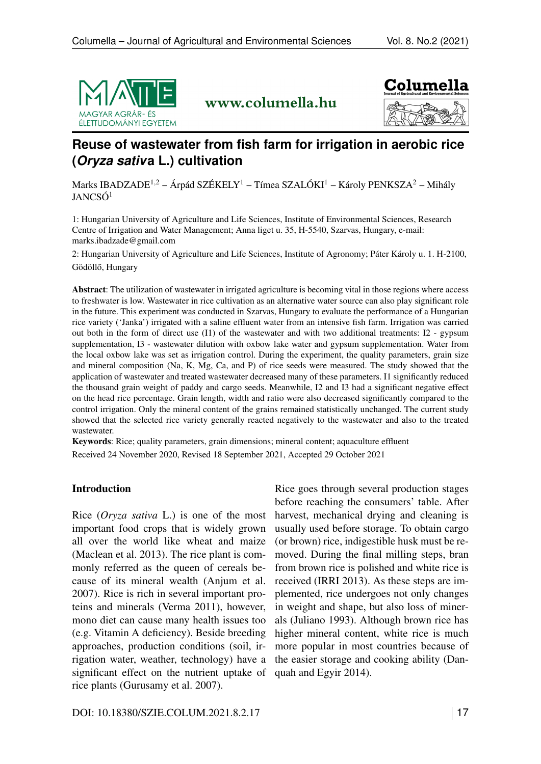

www.columella.hu



# **Reuse of wastewater from fish farm for irrigation in aerobic rice (***Oryza sativ***a L.) cultivation**

Marks IBADZADE<sup>1,2</sup> – Árpád SZÉKELY<sup>1</sup> – Tímea SZALÓKI<sup>1</sup> – Károly PENKSZA<sup>2</sup> – Mihály JANCSÓ<sup>1</sup>

1: Hungarian University of Agriculture and Life Sciences, Institute of Environmental Sciences, Research Centre of Irrigation and Water Management; Anna liget u. 35, H-5540, Szarvas, Hungary, e-mail: <marks.ibadzade@gmail.com>

2: Hungarian University of Agriculture and Life Sciences, Institute of Agronomy; Páter Károly u. 1. H-2100, Gödöllő, Hungary

Abstract: The utilization of wastewater in irrigated agriculture is becoming vital in those regions where access to freshwater is low. Wastewater in rice cultivation as an alternative water source can also play significant role in the future. This experiment was conducted in Szarvas, Hungary to evaluate the performance of a Hungarian rice variety ('Janka') irrigated with a saline effluent water from an intensive fish farm. Irrigation was carried out both in the form of direct use (I1) of the wastewater and with two additional treatments: I2 - gypsum supplementation, I3 - wastewater dilution with oxbow lake water and gypsum supplementation. Water from the local oxbow lake was set as irrigation control. During the experiment, the quality parameters, grain size and mineral composition (Na, K, Mg, Ca, and P) of rice seeds were measured. The study showed that the application of wastewater and treated wastewater decreased many of these parameters. I1 significantly reduced the thousand grain weight of paddy and cargo seeds. Meanwhile, I2 and I3 had a significant negative effect on the head rice percentage. Grain length, width and ratio were also decreased significantly compared to the control irrigation. Only the mineral content of the grains remained statistically unchanged. The current study showed that the selected rice variety generally reacted negatively to the wastewater and also to the treated wastewater.

Keywords: Rice; quality parameters, grain dimensions; mineral content; aquaculture effluent Received 24 November 2020, Revised 18 September 2021, Accepted 29 October 2021

#### Introduction

Rice (*Oryza sativa* L.) is one of the most important food crops that is widely grown all over the world like wheat and maize (Maclean et al. 2013). The rice plant is commonly referred as the queen of cereals because of its mineral wealth (Anjum et al. 2007). Rice is rich in several important proteins and minerals (Verma 2011), however, mono diet can cause many health issues too (e.g. Vitamin A deficiency). Beside breeding approaches, production conditions (soil, irrigation water, weather, technology) have a significant effect on the nutrient uptake of rice plants (Gurusamy et al. 2007).

Rice goes through several production stages before reaching the consumers' table. After harvest, mechanical drying and cleaning is usually used before storage. To obtain cargo (or brown) rice, indigestible husk must be removed. During the final milling steps, bran from brown rice is polished and white rice is received (IRRI 2013). As these steps are implemented, rice undergoes not only changes in weight and shape, but also loss of minerals (Juliano 1993). Although brown rice has higher mineral content, white rice is much more popular in most countries because of the easier storage and cooking ability (Danquah and Egyir 2014).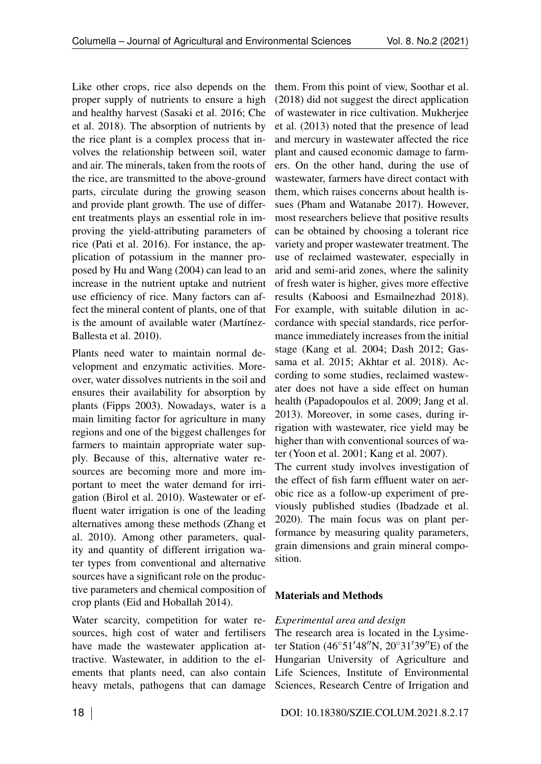Like other crops, rice also depends on the proper supply of nutrients to ensure a high and healthy harvest (Sasaki et al. 2016; Che et al. 2018). The absorption of nutrients by the rice plant is a complex process that involves the relationship between soil, water and air. The minerals, taken from the roots of the rice, are transmitted to the above-ground parts, circulate during the growing season and provide plant growth. The use of different treatments plays an essential role in improving the yield-attributing parameters of rice (Pati et al. 2016). For instance, the application of potassium in the manner proposed by Hu and Wang (2004) can lead to an increase in the nutrient uptake and nutrient use efficiency of rice. Many factors can affect the mineral content of plants, one of that is the amount of available water (Martínez-Ballesta et al. 2010).

Plants need water to maintain normal development and enzymatic activities. Moreover, water dissolves nutrients in the soil and ensures their availability for absorption by plants (Fipps 2003). Nowadays, water is a main limiting factor for agriculture in many regions and one of the biggest challenges for farmers to maintain appropriate water supply. Because of this, alternative water resources are becoming more and more important to meet the water demand for irrigation (Birol et al. 2010). Wastewater or effluent water irrigation is one of the leading alternatives among these methods (Zhang et al. 2010). Among other parameters, quality and quantity of different irrigation water types from conventional and alternative sources have a significant role on the productive parameters and chemical composition of crop plants (Eid and Hoballah 2014).

Water scarcity, competition for water resources, high cost of water and fertilisers have made the wastewater application attractive. Wastewater, in addition to the elements that plants need, can also contain heavy metals, pathogens that can damage them. From this point of view, Soothar et al. (2018) did not suggest the direct application of wastewater in rice cultivation. Mukherjee et al. (2013) noted that the presence of lead and mercury in wastewater affected the rice plant and caused economic damage to farmers. On the other hand, during the use of wastewater, farmers have direct contact with them, which raises concerns about health issues (Pham and Watanabe 2017). However, most researchers believe that positive results can be obtained by choosing a tolerant rice variety and proper wastewater treatment. The use of reclaimed wastewater, especially in arid and semi-arid zones, where the salinity of fresh water is higher, gives more effective results (Kaboosi and Esmailnezhad 2018). For example, with suitable dilution in accordance with special standards, rice performance immediately increases from the initial stage (Kang et al. 2004; Dash 2012; Gassama et al. 2015; Akhtar et al. 2018). According to some studies, reclaimed wastewater does not have a side effect on human health (Papadopoulos et al. 2009; Jang et al. 2013). Moreover, in some cases, during irrigation with wastewater, rice yield may be higher than with conventional sources of water (Yoon et al. 2001; Kang et al. 2007).

The current study involves investigation of the effect of fish farm effluent water on aerobic rice as a follow-up experiment of previously published studies (Ibadzade et al. 2020). The main focus was on plant performance by measuring quality parameters, grain dimensions and grain mineral composition.

## Materials and Methods

## *Experimental area and design*

The research area is located in the Lysimeter Station  $(46°51'48''N, 20°31'39''E)$  of the Hungarian University of Agriculture and Life Sciences, Institute of Environmental Sciences, Research Centre of Irrigation and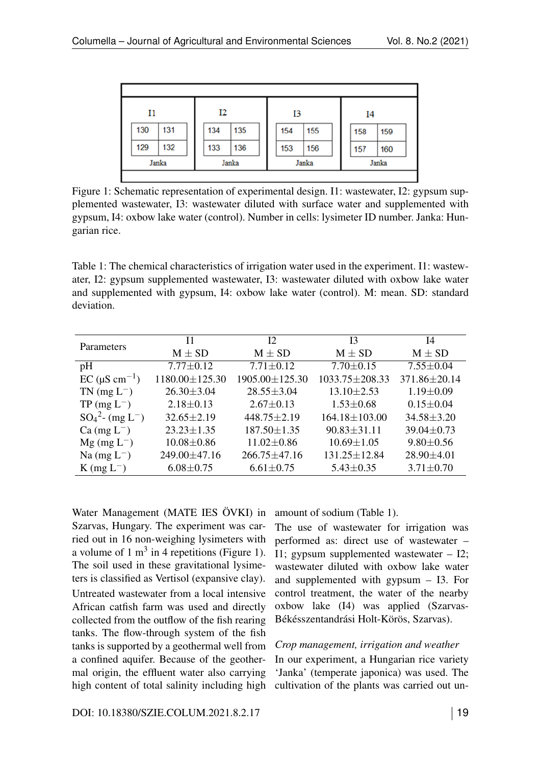<span id="page-2-0"></span>

| $_{\rm II}$ |     | Ι2    |     | I3    |     | I4    |     |     |  |
|-------------|-----|-------|-----|-------|-----|-------|-----|-----|--|
|             | 130 | 131   | 134 | 135   | 154 | 155   | 158 | 159 |  |
|             | 129 | 132   | 133 | 136   | 153 | 156   | 157 | 160 |  |
| Janka       |     | Janka |     | Janka |     | Janka |     |     |  |
|             |     |       |     |       |     |       |     |     |  |

Figure 1: Schematic representation of experimental design. I1: wastewater, I2: gypsum supplemented wastewater, I3: wastewater diluted with surface water and supplemented with gypsum, I4: oxbow lake water (control). Number in cells: lysimeter ID number. Janka: Hungarian rice.

<span id="page-2-1"></span>Table 1: The chemical characteristics of irrigation water used in the experiment. I1: wastewater, I2: gypsum supplemented wastewater, I3: wastewater diluted with oxbow lake water and supplemented with gypsum, I4: oxbow lake water (control). M: mean. SD: standard deviation.

|                                   | 11                       | 12                 | I3                  | I4               |
|-----------------------------------|--------------------------|--------------------|---------------------|------------------|
| Parameters                        | $M \pm SD$<br>$M \pm SD$ |                    | $M \pm SD$          | $M \pm SD$       |
| pH                                | $7.77 \pm 0.12$          | $7.71 \pm 0.12$    | $7.70 \pm 0.15$     | $7.55 \pm 0.04$  |
| $EC$ ( $\mu$ S cm <sup>-1</sup> ) | 1180.00±125.30           | 1905.00±125.30     | 1033.75±208.33      | 371.86±20.14     |
| $TN$ (mg $L^-$ )                  | $26.30 \pm 3.04$         | $28.55 \pm 3.04$   | $13.10 \pm 2.53$    | $1.19 \pm 0.09$  |
| $TP$ (mg $L^-$ )                  | $2.18 \pm 0.13$          | $2.67 \pm 0.13$    | $1.53 \pm 0.68$     | $0.15 \pm 0.04$  |
| $SO_4^2$ - (mg L <sup>-</sup> )   | $32.65 \pm 2.19$         | $448.75 \pm 2.19$  | $164.18 \pm 103.00$ | $34.58 \pm 3.20$ |
| $Ca$ (mg $L^-$ )                  | $23.23 \pm 1.35$         | $187.50 \pm 1.35$  | $90.83 \pm 31.11$   | $39.04 \pm 0.73$ |
| $Mg$ (mg L <sup>-</sup> )         | $10.08 \pm 0.86$         | $11.02 \pm 0.86$   | $10.69 \pm 1.05$    | $9.80 \pm 0.56$  |
| Na $(mg L^{-})$                   | 249.00 ± 47.16           | $266.75 \pm 47.16$ | $131.25 \pm 12.84$  | $28.90 \pm 4.01$ |
| $K$ (mg $L^-$ )                   | $6.08 \pm 0.75$          | $6.61 \pm 0.75$    | $5.43 \pm 0.35$     | $3.71 \pm 0.70$  |

Water Management (MATE IES ÖVKI) in Szarvas, Hungary. The experiment was carried out in 16 non-weighing lysimeters with a volume of 1  $m<sup>3</sup>$  in 4 repetitions (Figure [1\)](#page-2-0). The soil used in these gravitational lysimeters is classified as Vertisol (expansive clay). Untreated wastewater from a local intensive African catfish farm was used and directly collected from the outflow of the fish rearing tanks. The flow-through system of the fish tanks is supported by a geothermal well from a confined aquifer. Because of the geothermal origin, the effluent water also carrying high content of total salinity including high amount of sodium (Table [1\)](#page-2-1).

The use of wastewater for irrigation was performed as: direct use of wastewater – I1; gypsum supplemented wastewater – I2; wastewater diluted with oxbow lake water and supplemented with gypsum – I3. For control treatment, the water of the nearby oxbow lake (I4) was applied (Szarvas-Békésszentandrási Holt-Körös, Szarvas).

#### *Crop management, irrigation and weather*

In our experiment, a Hungarian rice variety 'Janka' (temperate japonica) was used. The cultivation of the plants was carried out un-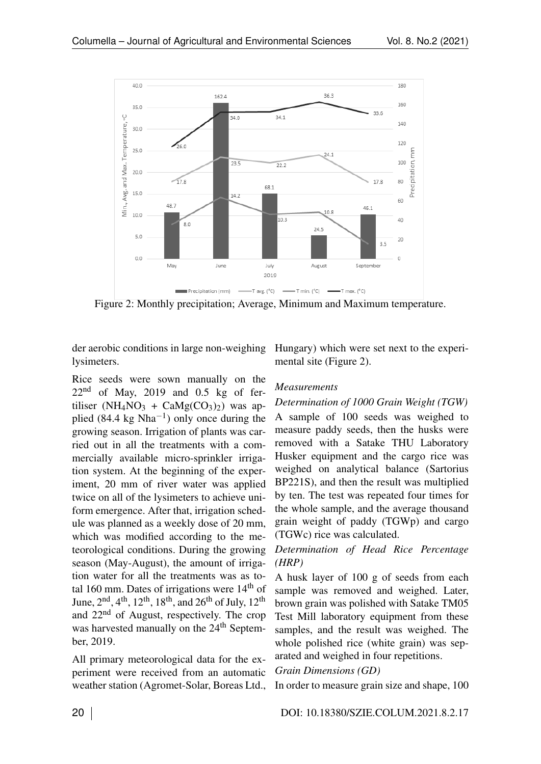<span id="page-3-0"></span>

Figure 2: Monthly precipitation; Average, Minimum and Maximum temperature.

der aerobic conditions in large non-weighing lysimeters.

Rice seeds were sown manually on the  $22<sup>nd</sup>$  of May, 2019 and 0.5 kg of fertiliser (NH<sub>4</sub>NO<sub>3</sub> + CaMg(CO<sub>3</sub>)<sub>2</sub>) was applied (84.4 kg Nha<sup>-1</sup>) only once during the growing season. Irrigation of plants was carried out in all the treatments with a commercially available micro-sprinkler irrigation system. At the beginning of the experiment, 20 mm of river water was applied twice on all of the lysimeters to achieve uniform emergence. After that, irrigation schedule was planned as a weekly dose of 20 mm, which was modified according to the meteorological conditions. During the growing season (May-August), the amount of irrigation water for all the treatments was as total 160 mm. Dates of irrigations were  $14<sup>th</sup>$  of June,  $2<sup>nd</sup>$ ,  $4<sup>th</sup>$ ,  $12<sup>th</sup>$ ,  $18<sup>th</sup>$ , and  $26<sup>th</sup>$  of July,  $12<sup>th</sup>$ and 22nd of August, respectively. The crop was harvested manually on the 24<sup>th</sup> September, 2019.

All primary meteorological data for the experiment were received from an automatic weather station (Agromet-Solar, Boreas Ltd., Hungary) which were set next to the experimental site (Figure [2\)](#page-3-0).

#### *Measurements*

## *Determination of 1000 Grain Weight (TGW)* A sample of 100 seeds was weighed to

measure paddy seeds, then the husks were removed with a Satake THU Laboratory Husker equipment and the cargo rice was weighed on analytical balance (Sartorius BP221S), and then the result was multiplied by ten. The test was repeated four times for the whole sample, and the average thousand grain weight of paddy (TGWp) and cargo (TGWc) rice was calculated.

## *Determination of Head Rice Percentage (HRP)*

A husk layer of 100 g of seeds from each sample was removed and weighed. Later, brown grain was polished with Satake TM05 Test Mill laboratory equipment from these samples, and the result was weighed. The whole polished rice (white grain) was separated and weighed in four repetitions.

#### *Grain Dimensions (GD)*

In order to measure grain size and shape, 100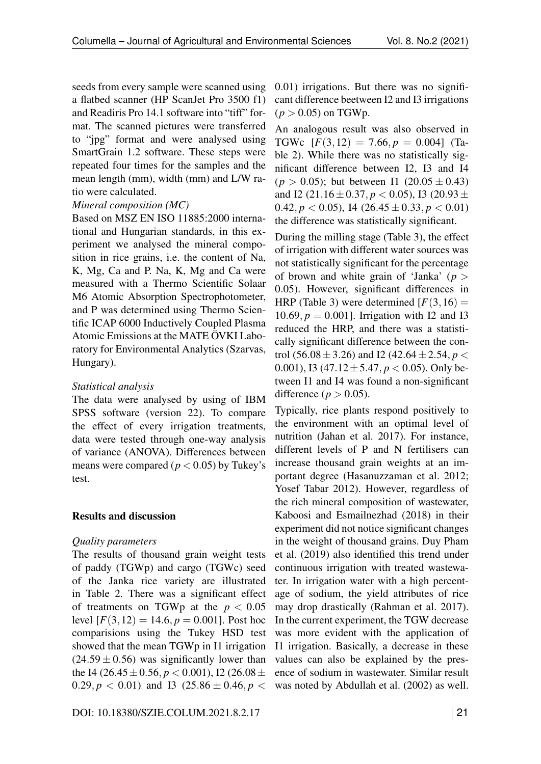seeds from every sample were scanned using a flatbed scanner (HP ScanJet Pro 3500 f1) and Readiris Pro 14.1 software into "tiff" format. The scanned pictures were transferred to "jpg" format and were analysed using SmartGrain 1.2 software. These steps were repeated four times for the samples and the mean length (mm), width (mm) and L/W ratio were calculated.

#### *Mineral composition (MC)*

Based on MSZ EN ISO 11885:2000 international and Hungarian standards, in this experiment we analysed the mineral composition in rice grains, i.e. the content of Na, K, Mg, Ca and P. Na, K, Mg and Ca were measured with a Thermo Scientific Solaar M6 Atomic Absorption Spectrophotometer, and P was determined using Thermo Scientific ICAP 6000 Inductively Coupled Plasma Atomic Emissions at the MATE ÖVKI Laboratory for Environmental Analytics (Szarvas, Hungary).

#### *Statistical analysis*

The data were analysed by using of IBM SPSS software (version 22). To compare the effect of every irrigation treatments, data were tested through one-way analysis of variance (ANOVA). Differences between means were compared ( $p < 0.05$ ) by Tukey's test.

#### Results and discussion

#### *Quality parameters*

The results of thousand grain weight tests of paddy (TGWp) and cargo (TGWc) seed of the Janka rice variety are illustrated in Table [2.](#page-5-0) There was a significant effect of treatments on TGWp at the  $p < 0.05$ level  $[F(3, 12) = 14.6, p = 0.001]$ . Post hoc comparisions using the Tukey HSD test showed that the mean TGWp in I1 irrigation  $(24.59 \pm 0.56)$  was significantly lower than the I4 (26*.*45*±*0*.*56*, p <* 0*.*001), I2 (26*.*08*±*  $0.29, p < 0.01$  and I3  $(25.86 \pm 0.46, p <$ 

0*.*01) irrigations. But there was no significant difference beetween I2 and I3 irrigations  $(p > 0.05)$  on TGWp.

An analogous result was also observed in TGWc  $[F(3, 12) = 7.66, p = 0.004]$  (Table [2\)](#page-5-0). While there was no statistically significant difference between I2, I3 and I4  $(p > 0.05)$ ; but between I1 (20.05  $\pm$  0.43) and I2 (21*.*16*±*0*.*37*, p <* 0*.*05), I3 (20*.*93*±* 0.42*, p*  $<$  0.05), I4 (26.45  $\pm$  0.33*, p*  $<$  0.01) the difference was statistically significant.

During the milling stage (Table [3\)](#page-5-1), the effect of irrigation with different water sources was not statistically significant for the percentage of brown and white grain of 'Janka' (*p >* 0*.*05). However, significant differences in HRP (Table [3\)](#page-5-1) were determined  $[F(3, 16) =$ 10.69,  $p = 0.001$ . Irrigation with I2 and I3 reduced the HRP, and there was a statistically significant difference between the control (56*.*08*±*3*.*26) and I2 (42*.*64*±*2*.*54*, p <* 0*.*001), I3 (47*.*12*±*5*.*47*, p <* 0*.*05). Only between I1 and I4 was found a non-significant difference ( $p > 0.05$ ).

Typically, rice plants respond positively to the environment with an optimal level of nutrition (Jahan et al. 2017). For instance, different levels of P and N fertilisers can increase thousand grain weights at an important degree (Hasanuzzaman et al. 2012; Yosef Tabar 2012). However, regardless of the rich mineral composition of wastewater, Kaboosi and Esmailnezhad (2018) in their experiment did not notice significant changes in the weight of thousand grains. Duy Pham et al. (2019) also identified this trend under continuous irrigation with treated wastewater. In irrigation water with a high percentage of sodium, the yield attributes of rice may drop drastically (Rahman et al. 2017). In the current experiment, the TGW decrease was more evident with the application of I1 irrigation. Basically, a decrease in these values can also be explained by the presence of sodium in wastewater. Similar result was noted by Abdullah et al. (2002) as well.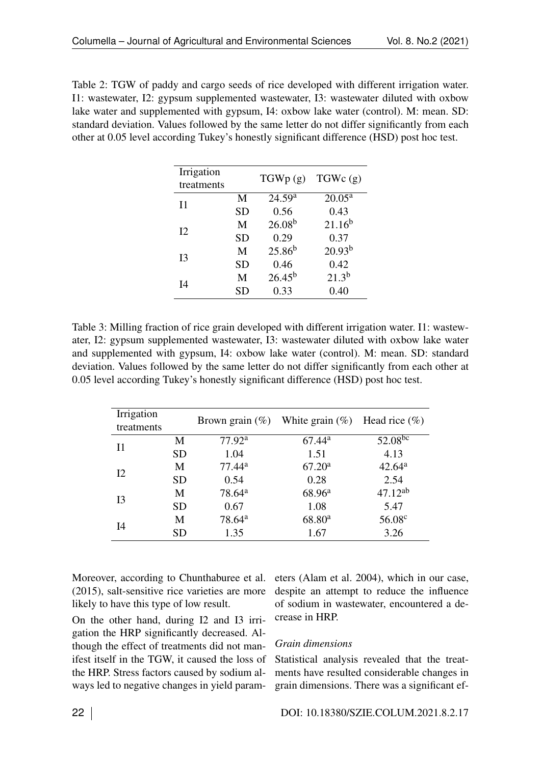<span id="page-5-0"></span>Table 2: TGW of paddy and cargo seeds of rice developed with different irrigation water. I1: wastewater, I2: gypsum supplemented wastewater, I3: wastewater diluted with oxbow lake water and supplemented with gypsum, I4: oxbow lake water (control). M: mean. SD: standard deviation. Values followed by the same letter do not differ significantly from each other at 0.05 level according Tukey's honestly significant difference (HSD) post hoc test.

| Irrigation |           | TGWp(g)            | TGWc(g)            |  |
|------------|-----------|--------------------|--------------------|--|
| treatments |           |                    |                    |  |
| 11         | M         | 24.59 <sup>a</sup> | $20.05^{\text{a}}$ |  |
|            | <b>SD</b> | 0.56               | 0.43               |  |
| 12         | M         | $26.08^{b}$        | $21.16^{b}$        |  |
|            | <b>SD</b> | 0.29               | 0.37               |  |
| I3         | M         | $25.86^{b}$        | $20.93^{b}$        |  |
|            | <b>SD</b> | 0.46               | 0.42               |  |
| I4         | M         | $26.45^{b}$        | $21.3^{b}$         |  |
|            | <b>SD</b> | 0.33               | 0.40               |  |

<span id="page-5-1"></span>Table 3: Milling fraction of rice grain developed with different irrigation water. I1: wastewater, I2: gypsum supplemented wastewater, I3: wastewater diluted with oxbow lake water and supplemented with gypsum, I4: oxbow lake water (control). M: mean. SD: standard deviation. Values followed by the same letter do not differ significantly from each other at 0.05 level according Tukey's honestly significant difference (HSD) post hoc test.

| Irrigation |           |                    | Brown grain $(\%)$ White grain $(\%)$ Head rice $(\%)$ |                    |  |
|------------|-----------|--------------------|--------------------------------------------------------|--------------------|--|
| treatments |           |                    |                                                        |                    |  |
| 11         | M         | 77.92 <sup>a</sup> | $67.44^{\rm a}$                                        | $52.08^{bc}$       |  |
|            | <b>SD</b> | 1.04               | 1.51                                                   | 4.13               |  |
| I2         | M         | $77.44^a$          | 67.20 <sup>a</sup>                                     | 42.64 <sup>a</sup> |  |
|            | <b>SD</b> | 0.54               | 0.28                                                   | 2.54               |  |
| 13         | M         | 78.64 <sup>a</sup> | 68.96 <sup>a</sup>                                     | $47.12^{ab}$       |  |
|            | <b>SD</b> | 0.67               | 1.08                                                   | 5.47               |  |
| I4         | M         | 78.64 <sup>a</sup> | 68.80 <sup>a</sup>                                     | 56.08 <sup>c</sup> |  |
|            | <b>SD</b> | 1.35               | 1.67                                                   | 3.26               |  |

Moreover, according to Chunthaburee et al. (2015), salt-sensitive rice varieties are more likely to have this type of low result.

On the other hand, during I2 and I3 irrigation the HRP significantly decreased. Although the effect of treatments did not manifest itself in the TGW, it caused the loss of the HRP. Stress factors caused by sodium always led to negative changes in yield parameters (Alam et al. 2004), which in our case, despite an attempt to reduce the influence of sodium in wastewater, encountered a decrease in HRP.

#### *Grain dimensions*

Statistical analysis revealed that the treatments have resulted considerable changes in grain dimensions. There was a significant ef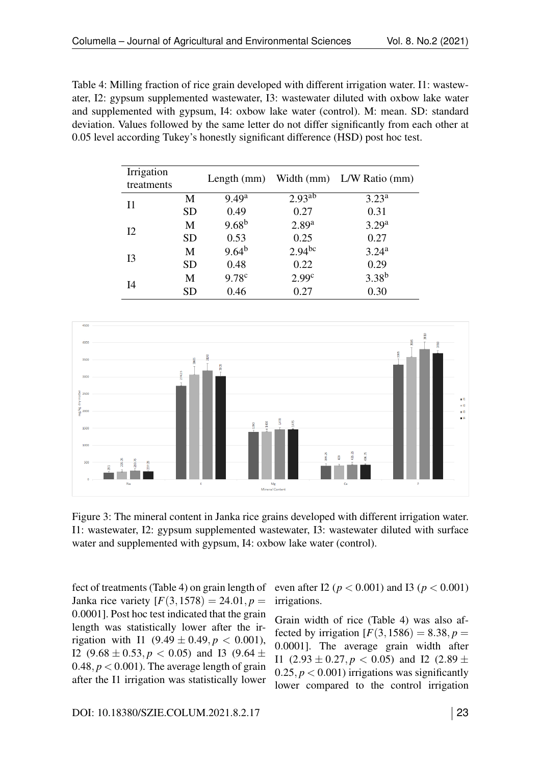<span id="page-6-0"></span>Table 4: Milling fraction of rice grain developed with different irrigation water. I1: wastewater, I2: gypsum supplemented wastewater, I3: wastewater diluted with oxbow lake water and supplemented with gypsum, I4: oxbow lake water (control). M: mean. SD: standard deviation. Values followed by the same letter do not differ significantly from each other at 0.05 level according Tukey's honestly significant difference (HSD) post hoc test.

| Irrigation |           |                   |                    |                           |  |
|------------|-----------|-------------------|--------------------|---------------------------|--|
| treatments |           | Length $(mm)$     |                    | Width (mm) L/W Ratio (mm) |  |
| 11         | M         | 9.49 <sup>a</sup> | 2.93 <sup>ab</sup> | 3.23 <sup>a</sup>         |  |
|            | <b>SD</b> | 0.49              | 0.27               | 0.31                      |  |
| 12         | M         | 9.68 <sup>b</sup> | 2.89 <sup>a</sup>  | 3.29 <sup>a</sup>         |  |
|            | <b>SD</b> | 0.53              | 0.25               | 0.27                      |  |
|            | M         | $9.64^{b}$        | 2.94 <sup>bc</sup> | 3.24 <sup>a</sup>         |  |
| I3         | <b>SD</b> | 0.48              | 0.22               | 0.29                      |  |
|            | M         | 9.78 <sup>c</sup> | 2.99 <sup>c</sup>  | $3.38^{b}$                |  |
| I4         | <b>SD</b> | 0.46              | 0.27               | 0.30                      |  |

<span id="page-6-1"></span>

Figure 3: The mineral content in Janka rice grains developed with different irrigation water. I1: wastewater, I2: gypsum supplemented wastewater, I3: wastewater diluted with surface water and supplemented with gypsum, I4: oxbow lake water (control).

fect of treatments (Table [4\)](#page-6-0) on grain length of Janka rice variety  $[F(3, 1578) = 24.01, p =$ 0*.*0001]. Post hoc test indicated that the grain length was statistically lower after the irrigation with I1 (9.49  $\pm$  0.49,  $p < 0.001$ ), 12 (9.68  $\pm$  0.53*, p* < 0.05) and 13 (9.64  $\pm$ 0.48,  $p < 0.001$ ). The average length of grain after the I1 irrigation was statistically lower

even after I2 ( $p < 0.001$ ) and I3 ( $p < 0.001$ ) irrigations.

Grain width of rice (Table [4\)](#page-6-0) was also affected by irrigation  $[F(3, 1586) = 8.38, p =$ 0*.*0001]. The average grain width after I1  $(2.93 \pm 0.27, p < 0.05)$  and I2  $(2.89 \pm 0.05)$ 0.25,  $p < 0.001$ ) irrigations was significantly lower compared to the control irrigation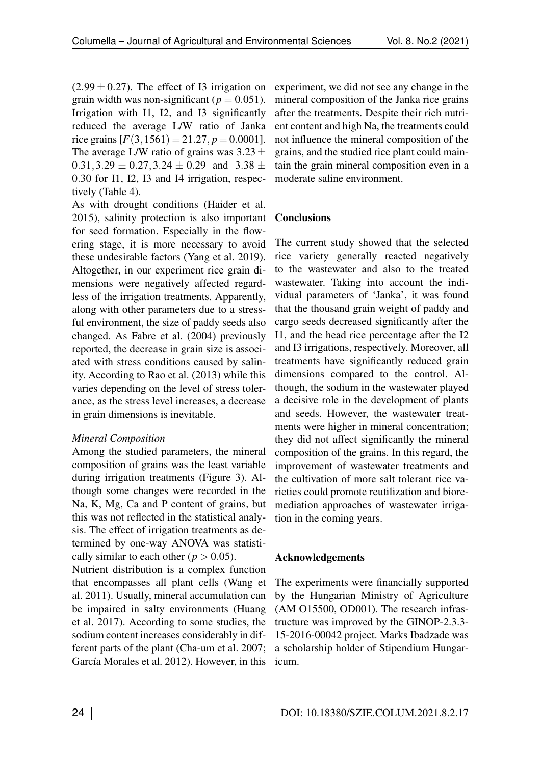$(2.99 \pm 0.27)$ . The effect of I3 irrigation on grain width was non-significant ( $p = 0.051$ ). Irrigation with I1, I2, and I3 significantly reduced the average L/W ratio of Janka rice grains  $[F(3, 1561) = 21.27, p = 0.0001]$ . The average L/W ratio of grains was 3*.*23*±* 0*.*31*,*3*.*29 *±* 0*.*27*,*3*.*24 *±* 0*.*29 and 3*.*38 *±* 0*.*30 for I1, I2, I3 and I4 irrigation, respectively (Table [4\)](#page-6-0).

As with drought conditions (Haider et al. 2015), salinity protection is also important for seed formation. Especially in the flowering stage, it is more necessary to avoid these undesirable factors (Yang et al. 2019). Altogether, in our experiment rice grain dimensions were negatively affected regardless of the irrigation treatments. Apparently, along with other parameters due to a stressful environment, the size of paddy seeds also changed. As Fabre et al. (2004) previously reported, the decrease in grain size is associated with stress conditions caused by salinity. According to Rao et al. (2013) while this varies depending on the level of stress tolerance, as the stress level increases, a decrease in grain dimensions is inevitable.

#### *Mineral Composition*

Among the studied parameters, the mineral composition of grains was the least variable during irrigation treatments (Figure [3\)](#page-6-1). Although some changes were recorded in the Na, K, Mg, Ca and P content of grains, but this was not reflected in the statistical analysis. The effect of irrigation treatments as determined by one-way ANOVA was statistically similar to each other ( $p > 0.05$ ).

Nutrient distribution is a complex function that encompasses all plant cells (Wang et al. 2011). Usually, mineral accumulation can be impaired in salty environments (Huang et al. 2017). According to some studies, the sodium content increases considerably in different parts of the plant (Cha-um et al. 2007; García Morales et al. 2012). However, in this

experiment, we did not see any change in the mineral composition of the Janka rice grains after the treatments. Despite their rich nutrient content and high Na, the treatments could not influence the mineral composition of the grains, and the studied rice plant could maintain the grain mineral composition even in a moderate saline environment.

## **Conclusions**

The current study showed that the selected rice variety generally reacted negatively to the wastewater and also to the treated wastewater. Taking into account the individual parameters of 'Janka', it was found that the thousand grain weight of paddy and cargo seeds decreased significantly after the I1, and the head rice percentage after the I2 and I3 irrigations, respectively. Moreover, all treatments have significantly reduced grain dimensions compared to the control. Although, the sodium in the wastewater played a decisive role in the development of plants and seeds. However, the wastewater treatments were higher in mineral concentration; they did not affect significantly the mineral composition of the grains. In this regard, the improvement of wastewater treatments and the cultivation of more salt tolerant rice varieties could promote reutilization and bioremediation approaches of wastewater irrigation in the coming years.

#### Acknowledgements

The experiments were financially supported by the Hungarian Ministry of Agriculture (AM O15500, OD001). The research infrastructure was improved by the GINOP-2.3.3- 15-2016-00042 project. Marks Ibadzade was a scholarship holder of Stipendium Hungaricum.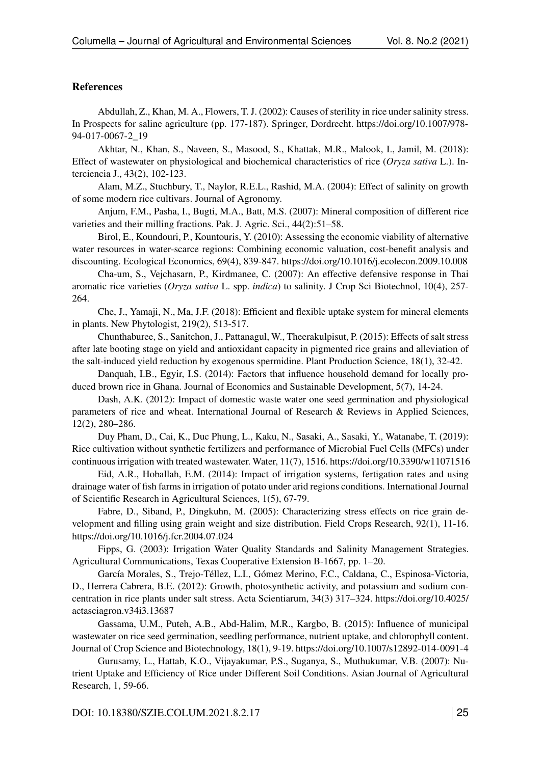#### References

Abdullah, Z., Khan, M. A., Flowers, T. J. (2002): Causes of sterility in rice under salinity stress. In Prospects for saline agriculture (pp. 177-187). Springer, Dordrecht. [https://doi.org/10.1007/978-](https://doi.org/10.1007/978-94-017-0067-2_19) [94-017-0067-2\\_19](https://doi.org/10.1007/978-94-017-0067-2_19)

Akhtar, N., Khan, S., Naveen, S., Masood, S., Khattak, M.R., Malook, I., Jamil, M. (2018): Effect of wastewater on physiological and biochemical characteristics of rice (*Oryza sativa* L.). Interciencia J., 43(2), 102-123.

Alam, M.Z., Stuchbury, T., Naylor, R.E.L., Rashid, M.A. (2004): Effect of salinity on growth of some modern rice cultivars. Journal of Agronomy.

Anjum, F.M., Pasha, I., Bugti, M.A., Batt, M.S. (2007): Mineral composition of different rice varieties and their milling fractions. Pak. J. Agric. Sci., 44(2):51–58.

Birol, E., Koundouri, P., Kountouris, Y. (2010): Assessing the economic viability of alternative water resources in water-scarce regions: Combining economic valuation, cost-benefit analysis and discounting. Ecological Economics, 69(4), 839-847.<https://doi.org/10.1016/j.ecolecon.2009.10.008>

Cha-um, S., Vejchasarn, P., Kirdmanee, C. (2007): An effective defensive response in Thai aromatic rice varieties (*Oryza sativa* L. spp. *indica*) to salinity. J Crop Sci Biotechnol, 10(4), 257- 264.

Che, J., Yamaji, N., Ma, J.F. (2018): Efficient and flexible uptake system for mineral elements in plants. New Phytologist, 219(2), 513-517.

Chunthaburee, S., Sanitchon, J., Pattanagul, W., Theerakulpisut, P. (2015): Effects of salt stress after late booting stage on yield and antioxidant capacity in pigmented rice grains and alleviation of the salt-induced yield reduction by exogenous spermidine. Plant Production Science, 18(1), 32-42.

Danquah, I.B., Egyir, I.S. (2014): Factors that influence household demand for locally produced brown rice in Ghana. Journal of Economics and Sustainable Development, 5(7), 14-24.

Dash, A.K. (2012): Impact of domestic waste water one seed germination and physiological parameters of rice and wheat. International Journal of Research & Reviews in Applied Sciences, 12(2), 280–286.

Duy Pham, D., Cai, K., Duc Phung, L., Kaku, N., Sasaki, A., Sasaki, Y., Watanabe, T. (2019): Rice cultivation without synthetic fertilizers and performance of Microbial Fuel Cells (MFCs) under continuous irrigation with treated wastewater. Water, 11(7), 1516.<https://doi.org/10.3390/w11071516>

Eid, A.R., Hoballah, E.M. (2014): Impact of irrigation systems, fertigation rates and using drainage water of fish farms in irrigation of potato under arid regions conditions. International Journal of Scientific Research in Agricultural Sciences, 1(5), 67-79.

Fabre, D., Siband, P., Dingkuhn, M. (2005): Characterizing stress effects on rice grain development and filling using grain weight and size distribution. Field Crops Research, 92(1), 11-16. <https://doi.org/10.1016/j.fcr.2004.07.024>

Fipps, G. (2003): Irrigation Water Quality Standards and Salinity Management Strategies. Agricultural Communications, Texas Cooperative Extension B-1667, pp. 1–20.

García Morales, S., Trejo-Téllez, L.I., Gómez Merino, F.C., Caldana, C., Espinosa-Victoria, D., Herrera Cabrera, B.E. (2012): Growth, photosynthetic activity, and potassium and sodium concentration in rice plants under salt stress. Acta Scientiarum, 34(3) 317–324. [https://doi.org/10.4025/](https://doi.org/10.4025/actasciagron.v34i3.13687) [actasciagron.v34i3.13687](https://doi.org/10.4025/actasciagron.v34i3.13687)

Gassama, U.M., Puteh, A.B., Abd-Halim, M.R., Kargbo, B. (2015): Influence of municipal wastewater on rice seed germination, seedling performance, nutrient uptake, and chlorophyll content. Journal of Crop Science and Biotechnology, 18(1), 9-19.<https://doi.org/10.1007/s12892-014-0091-4>

Gurusamy, L., Hattab, K.O., Vijayakumar, P.S., Suganya, S., Muthukumar, V.B. (2007): Nutrient Uptake and Efficiency of Rice under Different Soil Conditions. Asian Journal of Agricultural Research, 1, 59-66.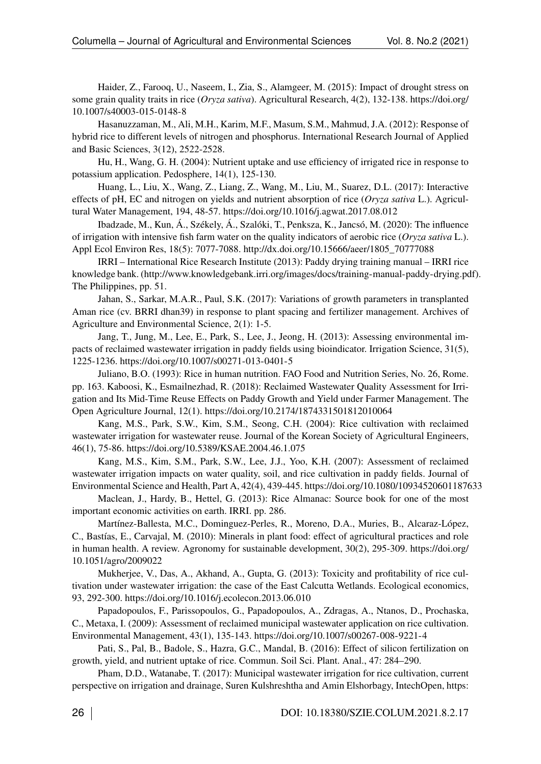Haider, Z., Farooq, U., Naseem, I., Zia, S., Alamgeer, M. (2015): Impact of drought stress on some grain quality traits in rice (*Oryza sativa*). Agricultural Research, 4(2), 132-138. [https://doi.org/](https://doi.org/10.1007/s40003-015-0148-8) [10.1007/s40003-015-0148-8](https://doi.org/10.1007/s40003-015-0148-8)

Hasanuzzaman, M., Ali, M.H., Karim, M.F., Masum, S.M., Mahmud, J.A. (2012): Response of hybrid rice to different levels of nitrogen and phosphorus. International Research Journal of Applied and Basic Sciences, 3(12), 2522-2528.

Hu, H., Wang, G. H. (2004): Nutrient uptake and use efficiency of irrigated rice in response to potassium application. Pedosphere, 14(1), 125-130.

Huang, L., Liu, X., Wang, Z., Liang, Z., Wang, M., Liu, M., Suarez, D.L. (2017): Interactive effects of pH, EC and nitrogen on yields and nutrient absorption of rice (*Oryza sativa* L.). Agricultural Water Management, 194, 48-57.<https://doi.org/10.1016/j.agwat.2017.08.012>

Ibadzade, M., Kun, Á., Székely, Á., Szalóki, T., Penksza, K., Jancsó, M. (2020): The influence of irrigation with intensive fish farm water on the quality indicators of aerobic rice (*Oryza sativa* L.). Appl Ecol Environ Res, 18(5): 7077-7088. [http://dx.doi.org/10.15666/aeer/1805\\_70777088](http://dx.doi.org/10.15666/aeer/1805_70777088)

IRRI – International Rice Research Institute (2013): Paddy drying training manual – IRRI rice knowledge bank. [\(http://www.knowledgebank.irri.org/images/docs/training-manual-paddy-drying.pdf\)](http://www.knowledgebank.irri.org/images/docs/training-manual-paddy-drying.pdf). The Philippines, pp. 51.

Jahan, S., Sarkar, M.A.R., Paul, S.K. (2017): Variations of growth parameters in transplanted Aman rice (cv. BRRI dhan39) in response to plant spacing and fertilizer management. Archives of Agriculture and Environmental Science, 2(1): 1-5.

Jang, T., Jung, M., Lee, E., Park, S., Lee, J., Jeong, H. (2013): Assessing environmental impacts of reclaimed wastewater irrigation in paddy fields using bioindicator. Irrigation Science, 31(5), 1225-1236.<https://doi.org/10.1007/s00271-013-0401-5>

Juliano, B.O. (1993): Rice in human nutrition. FAO Food and Nutrition Series, No. 26, Rome. pp. 163. Kaboosi, K., Esmailnezhad, R. (2018): Reclaimed Wastewater Quality Assessment for Irrigation and Its Mid-Time Reuse Effects on Paddy Growth and Yield under Farmer Management. The Open Agriculture Journal, 12(1).<https://doi.org/10.2174/1874331501812010064>

Kang, M.S., Park, S.W., Kim, S.M., Seong, C.H. (2004): Rice cultivation with reclaimed wastewater irrigation for wastewater reuse. Journal of the Korean Society of Agricultural Engineers, 46(1), 75-86.<https://doi.org/10.5389/KSAE.2004.46.1.075>

Kang, M.S., Kim, S.M., Park, S.W., Lee, J.J., Yoo, K.H. (2007): Assessment of reclaimed wastewater irrigation impacts on water quality, soil, and rice cultivation in paddy fields. Journal of Environmental Science and Health, Part A, 42(4), 439-445.<https://doi.org/10.1080/10934520601187633>

Maclean, J., Hardy, B., Hettel, G. (2013): Rice Almanac: Source book for one of the most important economic activities on earth. IRRI. pp. 286.

Martínez-Ballesta, M.C., Dominguez-Perles, R., Moreno, D.A., Muries, B., Alcaraz-López, C., Bastías, E., Carvajal, M. (2010): Minerals in plant food: effect of agricultural practices and role in human health. A review. Agronomy for sustainable development, 30(2), 295-309. [https://doi.org/](https://doi.org/10.1051/agro/2009022) [10.1051/agro/2009022](https://doi.org/10.1051/agro/2009022)

Mukherjee, V., Das, A., Akhand, A., Gupta, G. (2013): Toxicity and profitability of rice cultivation under wastewater irrigation: the case of the East Calcutta Wetlands. Ecological economics, 93, 292-300.<https://doi.org/10.1016/j.ecolecon.2013.06.010>

Papadopoulos, F., Parissopoulos, G., Papadopoulos, A., Zdragas, A., Ntanos, D., Prochaska, C., Metaxa, I. (2009): Assessment of reclaimed municipal wastewater application on rice cultivation. Environmental Management, 43(1), 135-143.<https://doi.org/10.1007/s00267-008-9221-4>

Pati, S., Pal, B., Badole, S., Hazra, G.C., Mandal, B. (2016): Effect of silicon fertilization on growth, yield, and nutrient uptake of rice. Commun. Soil Sci. Plant. Anal., 47: 284–290.

Pham, D.D., Watanabe, T. (2017): Municipal wastewater irrigation for rice cultivation, current perspective on irrigation and drainage, Suren Kulshreshtha and Amin Elshorbagy, IntechOpen, [https:](https://doi.org/10.5772/66956)